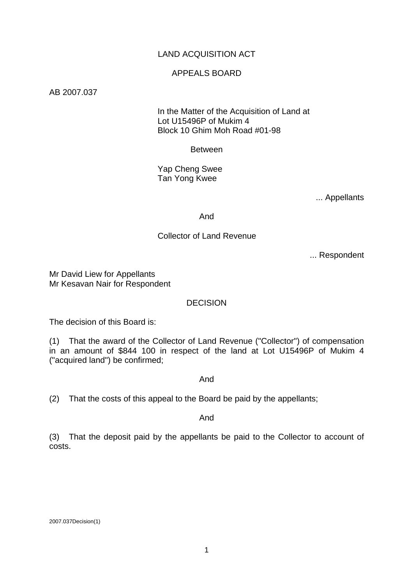# LAND ACQUISITION ACT

### APPEALS BOARD

AB 2007.037

 In the Matter of the Acquisition of Land at Lot U15496P of Mukim 4 Block 10 Ghim Moh Road #01-98

Between

 Yap Cheng Swee Tan Yong Kwee

... Appellants

And

## Collector of Land Revenue

... Respondent

Mr David Liew for Appellants Mr Kesavan Nair for Respondent

## DECISION

The decision of this Board is:

(1) That the award of the Collector of Land Revenue ("Collector") of compensation in an amount of \$844 100 in respect of the land at Lot U15496P of Mukim 4 ("acquired land") be confirmed;

And

(2) That the costs of this appeal to the Board be paid by the appellants;

And

(3) That the deposit paid by the appellants be paid to the Collector to account of costs.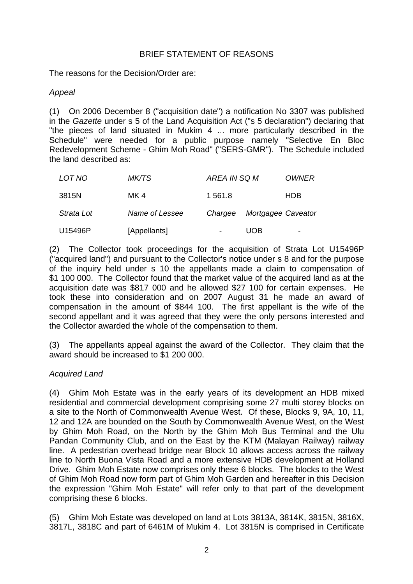## BRIEF STATEMENT OF REASONS

The reasons for the Decision/Order are:

### *Appeal*

(1) On 2006 December 8 ("acquisition date") a notification No 3307 was published in the *Gazette* under s 5 of the Land Acquisition Act ("s 5 declaration") declaring that "the pieces of land situated in Mukim 4 ... more particularly described in the Schedule" were needed for a public purpose namely "Selective En Bloc Redevelopment Scheme - Ghim Moh Road" ("SERS-GMR"). The Schedule included the land described as:

| LOT NO     | <i>MK/TS</i>   | AREA IN SQ M             |                    | <i>OWNER</i>             |
|------------|----------------|--------------------------|--------------------|--------------------------|
| 3815N      | MK 4           | 1 561.8                  |                    | <b>HDB</b>               |
| Strata Lot | Name of Lessee | Chargee                  | Mortgagee Caveator |                          |
| U15496P    | [Appellants]   | $\overline{\phantom{a}}$ | UOB                | $\overline{\phantom{0}}$ |

(2) The Collector took proceedings for the acquisition of Strata Lot U15496P ("acquired land") and pursuant to the Collector's notice under s 8 and for the purpose of the inquiry held under s 10 the appellants made a claim to compensation of \$1 100 000. The Collector found that the market value of the acquired land as at the acquisition date was \$817 000 and he allowed \$27 100 for certain expenses. He took these into consideration and on 2007 August 31 he made an award of compensation in the amount of \$844 100. The first appellant is the wife of the second appellant and it was agreed that they were the only persons interested and the Collector awarded the whole of the compensation to them.

(3) The appellants appeal against the award of the Collector. They claim that the award should be increased to \$1 200 000.

## *Acquired Land*

(4) Ghim Moh Estate was in the early years of its development an HDB mixed residential and commercial development comprising some 27 multi storey blocks on a site to the North of Commonwealth Avenue West. Of these, Blocks 9, 9A, 10, 11, 12 and 12A are bounded on the South by Commonwealth Avenue West, on the West by Ghim Moh Road, on the North by the Ghim Moh Bus Terminal and the Ulu Pandan Community Club, and on the East by the KTM (Malayan Railway) railway line. A pedestrian overhead bridge near Block 10 allows access across the railway line to North Buona Vista Road and a more extensive HDB development at Holland Drive. Ghim Moh Estate now comprises only these 6 blocks. The blocks to the West of Ghim Moh Road now form part of Ghim Moh Garden and hereafter in this Decision the expression "Ghim Moh Estate" will refer only to that part of the development comprising these 6 blocks.

(5) Ghim Moh Estate was developed on land at Lots 3813A, 3814K, 3815N, 3816X, 3817L, 3818C and part of 6461M of Mukim 4. Lot 3815N is comprised in Certificate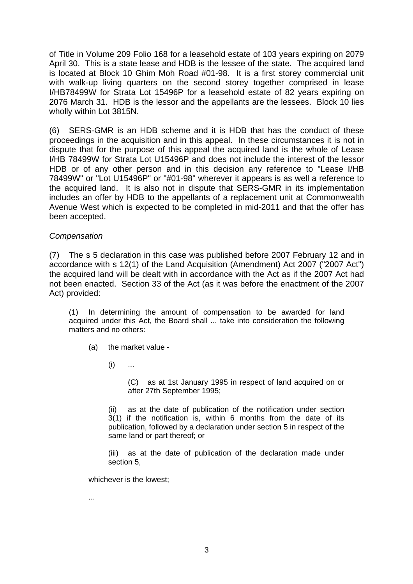of Title in Volume 209 Folio 168 for a leasehold estate of 103 years expiring on 2079 April 30. This is a state lease and HDB is the lessee of the state. The acquired land is located at Block 10 Ghim Moh Road #01-98. It is a first storey commercial unit with walk-up living quarters on the second storey together comprised in lease I/HB78499W for Strata Lot 15496P for a leasehold estate of 82 years expiring on 2076 March 31. HDB is the lessor and the appellants are the lessees. Block 10 lies wholly within Lot 3815N.

(6) SERS-GMR is an HDB scheme and it is HDB that has the conduct of these proceedings in the acquisition and in this appeal. In these circumstances it is not in dispute that for the purpose of this appeal the acquired land is the whole of Lease I/HB 78499W for Strata Lot U15496P and does not include the interest of the lessor HDB or of any other person and in this decision any reference to "Lease I/HB 78499W" or "Lot U15496P" or "#01-98" wherever it appears is as well a reference to the acquired land. It is also not in dispute that SERS-GMR in its implementation includes an offer by HDB to the appellants of a replacement unit at Commonwealth Avenue West which is expected to be completed in mid-2011 and that the offer has been accepted.

### *Compensation*

(7) The s 5 declaration in this case was published before 2007 February 12 and in accordance with s 12(1) of the Land Acquisition (Amendment) Act 2007 ("2007 Act") the acquired land will be dealt with in accordance with the Act as if the 2007 Act had not been enacted. Section 33 of the Act (as it was before the enactment of the 2007 Act) provided:

(1) In determining the amount of compensation to be awarded for land acquired under this Act, the Board shall ... take into consideration the following matters and no others:

(a) the market value -

 $(i)$  ...

(C) as at 1st January 1995 in respect of land acquired on or after 27th September 1995;

(ii) as at the date of publication of the notification under section 3(1) if the notification is, within 6 months from the date of its publication, followed by a declaration under section 5 in respect of the same land or part thereof; or

(iii) as at the date of publication of the declaration made under section 5,

whichever is the lowest;

...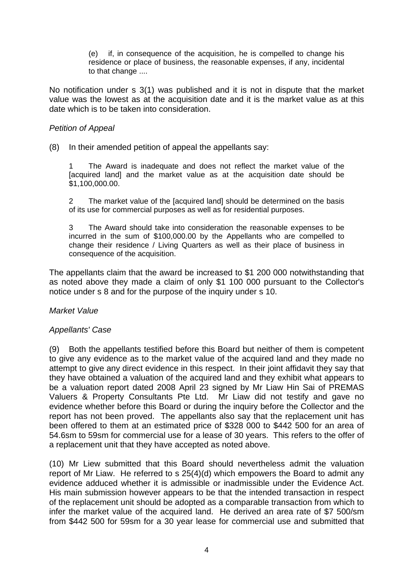(e) if, in consequence of the acquisition, he is compelled to change his residence or place of business, the reasonable expenses, if any, incidental to that change ....

No notification under s 3(1) was published and it is not in dispute that the market value was the lowest as at the acquisition date and it is the market value as at this date which is to be taken into consideration.

### *Petition of Appeal*

(8) In their amended petition of appeal the appellants say:

1 The Award is inadequate and does not reflect the market value of the [acquired land] and the market value as at the acquisition date should be \$1,100,000.00.

2 The market value of the [acquired land] should be determined on the basis of its use for commercial purposes as well as for residential purposes.

3 The Award should take into consideration the reasonable expenses to be incurred in the sum of \$100,000.00 by the Appellants who are compelled to change their residence / Living Quarters as well as their place of business in consequence of the acquisition.

The appellants claim that the award be increased to \$1 200 000 notwithstanding that as noted above they made a claim of only \$1 100 000 pursuant to the Collector's notice under s 8 and for the purpose of the inquiry under s 10.

## *Market Value*

#### *Appellants' Case*

(9) Both the appellants testified before this Board but neither of them is competent to give any evidence as to the market value of the acquired land and they made no attempt to give any direct evidence in this respect. In their joint affidavit they say that they have obtained a valuation of the acquired land and they exhibit what appears to be a valuation report dated 2008 April 23 signed by Mr Liaw Hin Sai of PREMAS Valuers & Property Consultants Pte Ltd. Mr Liaw did not testify and gave no evidence whether before this Board or during the inquiry before the Collector and the report has not been proved. The appellants also say that the replacement unit has been offered to them at an estimated price of \$328 000 to \$442 500 for an area of 54.6sm to 59sm for commercial use for a lease of 30 years. This refers to the offer of a replacement unit that they have accepted as noted above.

(10) Mr Liew submitted that this Board should nevertheless admit the valuation report of Mr Liaw. He referred to s 25(4)(d) which empowers the Board to admit any evidence adduced whether it is admissible or inadmissible under the Evidence Act. His main submission however appears to be that the intended transaction in respect of the replacement unit should be adopted as a comparable transaction from which to infer the market value of the acquired land. He derived an area rate of \$7 500/sm from \$442 500 for 59sm for a 30 year lease for commercial use and submitted that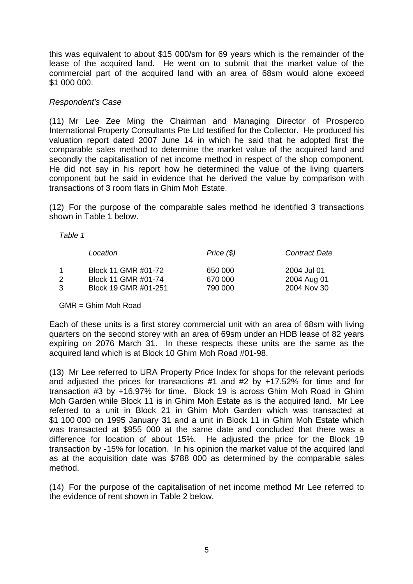this was equivalent to about \$15 000/sm for 69 years which is the remainder of the lease of the acquired land. He went on to submit that the market value of the commercial part of the acquired land with an area of 68sm would alone exceed \$1 000 000.

## *Respondent's Case*

(11) Mr Lee Zee Ming the Chairman and Managing Director of Prosperco International Property Consultants Pte Ltd testified for the Collector. He produced his valuation report dated 2007 June 14 in which he said that he adopted first the comparable sales method to determine the market value of the acquired land and secondly the capitalisation of net income method in respect of the shop component. He did not say in his report how he determined the value of the living quarters component but he said in evidence that he derived the value by comparison with transactions of 3 room flats in Ghim Moh Estate.

(12) For the purpose of the comparable sales method he identified 3 transactions shown in Table 1 below.

*Table 1* 

|   | Location             | Price $(\$)$ | <b>Contract Date</b> |
|---|----------------------|--------------|----------------------|
|   | Block 11 GMR #01-72  | 650 000      | 2004 Jul 01          |
| 2 | Block 11 GMR #01-74  | 670 000      | 2004 Aug 01          |
| 3 | Block 19 GMR #01-251 | 790 000      | 2004 Nov 30          |

GMR = Ghim Moh Road

Each of these units is a first storey commercial unit with an area of 68sm with living quarters on the second storey with an area of 69sm under an HDB lease of 82 years expiring on 2076 March 31. In these respects these units are the same as the acquired land which is at Block 10 Ghim Moh Road #01-98.

(13) Mr Lee referred to URA Property Price Index for shops for the relevant periods and adjusted the prices for transactions #1 and #2 by +17.52% for time and for transaction #3 by +16.97% for time. Block 19 is across Ghim Moh Road in Ghim Moh Garden while Block 11 is in Ghim Moh Estate as is the acquired land. Mr Lee referred to a unit in Block 21 in Ghim Moh Garden which was transacted at \$1 100 000 on 1995 January 31 and a unit in Block 11 in Ghim Moh Estate which was transacted at \$955 000 at the same date and concluded that there was a difference for location of about 15%. He adjusted the price for the Block 19 transaction by -15% for location. In his opinion the market value of the acquired land as at the acquisition date was \$788 000 as determined by the comparable sales method.

(14) For the purpose of the capitalisation of net income method Mr Lee referred to the evidence of rent shown in Table 2 below.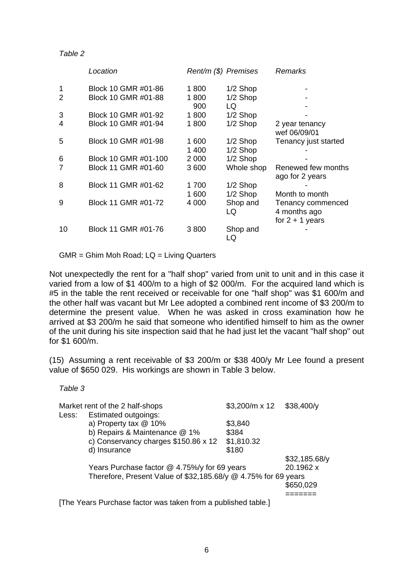#### *Table 2*

|                | Location             | Rent/m (\$) Premises |            | Remarks              |
|----------------|----------------------|----------------------|------------|----------------------|
| 1              | Block 10 GMR #01-86  | 1800                 | $1/2$ Shop |                      |
| $\overline{2}$ | Block 10 GMR #01-88  | 1800                 | 1/2 Shop   |                      |
|                |                      | 900                  | LQ         |                      |
| 3              | Block 10 GMR #01-92  | 1800                 | $1/2$ Shop |                      |
| 4              | Block 10 GMR #01-94  | 1800                 | $1/2$ Shop | 2 year tenancy       |
|                |                      |                      |            | wef 06/09/01         |
| 5              | Block 10 GMR #01-98  | 1 600                | $1/2$ Shop | Tenancy just started |
|                |                      | 1 400                | 1/2 Shop   |                      |
| 6              | Block 10 GMR #01-100 | 2 000                | 1/2 Shop   |                      |
|                | Block 11 GMR #01-60  | 3600                 | Whole shop | Renewed few months   |
|                |                      |                      |            | ago for 2 years      |
| 8              | Block 11 GMR #01-62  | 1 700                | 1/2 Shop   |                      |
|                |                      | 1 600                | $1/2$ Shop | Month to month       |
| 9              | Block 11 GMR #01-72  | 4 0 0 0              | Shop and   | Tenancy commenced    |
|                |                      |                      | LQ         | 4 months ago         |
|                |                      |                      |            | for $2 + 1$ years    |
| 10             | Block 11 GMR #01-76  | 3800                 | Shop and   |                      |
|                |                      |                      | LQ         |                      |

GMR = Ghim Moh Road; LQ = Living Quarters

Not unexpectedly the rent for a "half shop" varied from unit to unit and in this case it varied from a low of \$1 400/m to a high of \$2 000/m. For the acquired land which is #5 in the table the rent received or receivable for one "half shop" was \$1 600/m and the other half was vacant but Mr Lee adopted a combined rent income of \$3 200/m to determine the present value. When he was asked in cross examination how he arrived at \$3 200/m he said that someone who identified himself to him as the owner of the unit during his site inspection said that he had just let the vacant "half shop" out for \$1 600/m.

(15) Assuming a rent receivable of \$3 200/m or \$38 400/y Mr Lee found a present value of \$650 029. His workings are shown in Table 3 below.

| able |  |
|------|--|
|      |  |

|       | Market rent of the 2 half-shops                                | $$3,200/m \times 12$ | \$38,400/y    |
|-------|----------------------------------------------------------------|----------------------|---------------|
| Less: | <b>Estimated outgoings:</b>                                    |                      |               |
|       | a) Property tax @ 10%                                          | \$3,840              |               |
|       | b) Repairs & Maintenance @ 1%                                  | \$384                |               |
|       | c) Conservancy charges \$150.86 x 12                           | \$1,810.32           |               |
|       | d) Insurance                                                   | \$180                |               |
|       |                                                                |                      | \$32,185.68/y |
|       | Years Purchase factor @ 4.75%/y for 69 years                   | 20.1962 x            |               |
|       | Therefore, Present Value of \$32,185.68/y @ 4.75% for 69 years |                      |               |
|       |                                                                |                      | \$650,029     |
|       |                                                                |                      |               |

[The Years Purchase factor was taken from a published table.]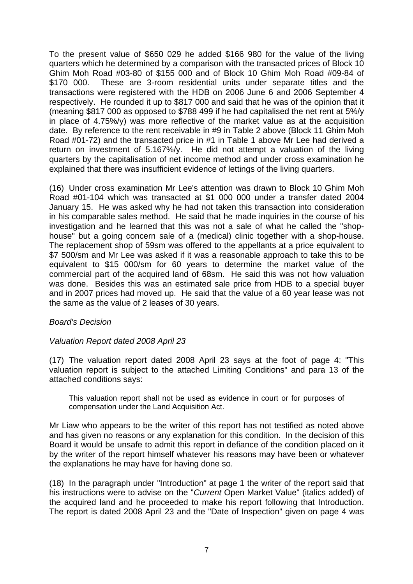To the present value of \$650 029 he added \$166 980 for the value of the living quarters which he determined by a comparison with the transacted prices of Block 10 Ghim Moh Road #03-80 of \$155 000 and of Block 10 Ghim Moh Road #09-84 of \$170 000. These are 3-room residential units under separate titles and the transactions were registered with the HDB on 2006 June 6 and 2006 September 4 respectively. He rounded it up to \$817 000 and said that he was of the opinion that it (meaning \$817 000 as opposed to \$788 499 if he had capitalised the net rent at 5%/y in place of 4.75%/y) was more reflective of the market value as at the acquisition date. By reference to the rent receivable in #9 in Table 2 above (Block 11 Ghim Moh Road #01-72) and the transacted price in #1 in Table 1 above Mr Lee had derived a return on investment of 5.167%/y. He did not attempt a valuation of the living quarters by the capitalisation of net income method and under cross examination he explained that there was insufficient evidence of lettings of the living quarters.

(16) Under cross examination Mr Lee's attention was drawn to Block 10 Ghim Moh Road #01-104 which was transacted at \$1 000 000 under a transfer dated 2004 January 15. He was asked why he had not taken this transaction into consideration in his comparable sales method. He said that he made inquiries in the course of his investigation and he learned that this was not a sale of what he called the "shophouse" but a going concern sale of a (medical) clinic together with a shop-house. The replacement shop of 59sm was offered to the appellants at a price equivalent to \$7 500/sm and Mr Lee was asked if it was a reasonable approach to take this to be equivalent to \$15 000/sm for 60 years to determine the market value of the commercial part of the acquired land of 68sm. He said this was not how valuation was done. Besides this was an estimated sale price from HDB to a special buyer and in 2007 prices had moved up. He said that the value of a 60 year lease was not the same as the value of 2 leases of 30 years.

## *Board's Decision*

## *Valuation Report dated 2008 April 23*

(17) The valuation report dated 2008 April 23 says at the foot of page 4: "This valuation report is subject to the attached Limiting Conditions" and para 13 of the attached conditions says:

This valuation report shall not be used as evidence in court or for purposes of compensation under the Land Acquisition Act.

Mr Liaw who appears to be the writer of this report has not testified as noted above and has given no reasons or any explanation for this condition. In the decision of this Board it would be unsafe to admit this report in defiance of the condition placed on it by the writer of the report himself whatever his reasons may have been or whatever the explanations he may have for having done so.

(18) In the paragraph under "Introduction" at page 1 the writer of the report said that his instructions were to advise on the "*Current* Open Market Value" (italics added) of the acquired land and he proceeded to make his report following that Introduction. The report is dated 2008 April 23 and the "Date of Inspection" given on page 4 was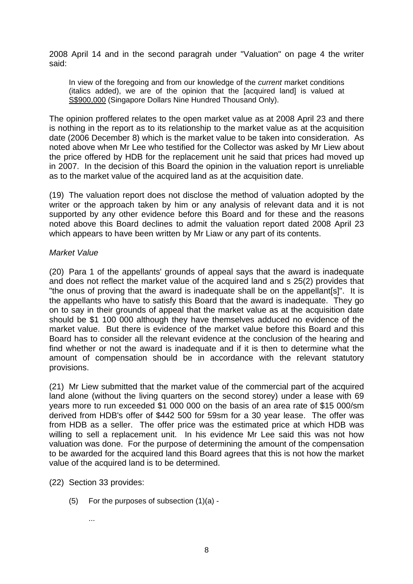2008 April 14 and in the second paragrah under "Valuation" on page 4 the writer said:

In view of the foregoing and from our knowledge of the *current* market conditions (italics added), we are of the opinion that the [acquired land] is valued at S\$900,000 (Singapore Dollars Nine Hundred Thousand Only).

The opinion proffered relates to the open market value as at 2008 April 23 and there is nothing in the report as to its relationship to the market value as at the acquisition date (2006 December 8) which is the market value to be taken into consideration. As noted above when Mr Lee who testified for the Collector was asked by Mr Liew about the price offered by HDB for the replacement unit he said that prices had moved up in 2007. In the decision of this Board the opinion in the valuation report is unreliable as to the market value of the acquired land as at the acquisition date.

(19) The valuation report does not disclose the method of valuation adopted by the writer or the approach taken by him or any analysis of relevant data and it is not supported by any other evidence before this Board and for these and the reasons noted above this Board declines to admit the valuation report dated 2008 April 23 which appears to have been written by Mr Liaw or any part of its contents.

### *Market Value*

(20) Para 1 of the appellants' grounds of appeal says that the award is inadequate and does not reflect the market value of the acquired land and s 25(2) provides that "the onus of proving that the award is inadequate shall be on the appellant[s]". It is the appellants who have to satisfy this Board that the award is inadequate. They go on to say in their grounds of appeal that the market value as at the acquisition date should be \$1 100 000 although they have themselves adduced no evidence of the market value. But there is evidence of the market value before this Board and this Board has to consider all the relevant evidence at the conclusion of the hearing and find whether or not the award is inadequate and if it is then to determine what the amount of compensation should be in accordance with the relevant statutory provisions.

(21) Mr Liew submitted that the market value of the commercial part of the acquired land alone (without the living quarters on the second storey) under a lease with 69 years more to run exceeded \$1 000 000 on the basis of an area rate of \$15 000/sm derived from HDB's offer of \$442 500 for 59sm for a 30 year lease. The offer was from HDB as a seller. The offer price was the estimated price at which HDB was willing to sell a replacement unit. In his evidence Mr Lee said this was not how valuation was done. For the purpose of determining the amount of the compensation to be awarded for the acquired land this Board agrees that this is not how the market value of the acquired land is to be determined.

- (22) Section 33 provides:
	- (5) For the purposes of subsection (1)(a)
		- ...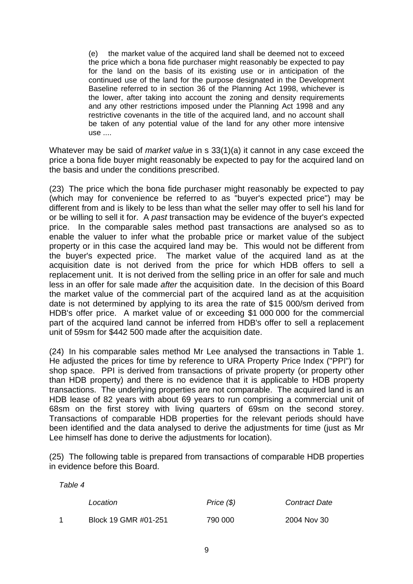(e) the market value of the acquired land shall be deemed not to exceed the price which a bona fide purchaser might reasonably be expected to pay for the land on the basis of its existing use or in anticipation of the continued use of the land for the purpose designated in the Development Baseline referred to in section 36 of the Planning Act 1998, whichever is the lower, after taking into account the zoning and density requirements and any other restrictions imposed under the Planning Act 1998 and any restrictive covenants in the title of the acquired land, and no account shall be taken of any potential value of the land for any other more intensive use ....

Whatever may be said of *market value* in s 33(1)(a) it cannot in any case exceed the price a bona fide buyer might reasonably be expected to pay for the acquired land on the basis and under the conditions prescribed.

(23) The price which the bona fide purchaser might reasonably be expected to pay (which may for convenience be referred to as "buyer's expected price") may be different from and is likely to be less than what the seller may offer to sell his land for or be willing to sell it for. A *past* transaction may be evidence of the buyer's expected price. In the comparable sales method past transactions are analysed so as to enable the valuer to infer what the probable price or market value of the subject property or in this case the acquired land may be. This would not be different from the buyer's expected price. The market value of the acquired land as at the acquisition date is not derived from the price for which HDB offers to sell a replacement unit. It is not derived from the selling price in an offer for sale and much less in an offer for sale made *after* the acquisition date. In the decision of this Board the market value of the commercial part of the acquired land as at the acquisition date is not determined by applying to its area the rate of \$15 000/sm derived from HDB's offer price. A market value of or exceeding \$1 000 000 for the commercial part of the acquired land cannot be inferred from HDB's offer to sell a replacement unit of 59sm for \$442 500 made after the acquisition date.

(24) In his comparable sales method Mr Lee analysed the transactions in Table 1. He adjusted the prices for time by reference to URA Property Price Index ("PPI") for shop space. PPI is derived from transactions of private property (or property other than HDB property) and there is no evidence that it is applicable to HDB property transactions. The underlying properties are not comparable. The acquired land is an HDB lease of 82 years with about 69 years to run comprising a commercial unit of 68sm on the first storey with living quarters of 69sm on the second storey. Transactions of comparable HDB properties for the relevant periods should have been identified and the data analysed to derive the adjustments for time (just as Mr Lee himself has done to derive the adjustments for location).

(25) The following table is prepared from transactions of comparable HDB properties in evidence before this Board.

*Table 4* 

| Location             | Price (\$) | <b>Contract Date</b> |
|----------------------|------------|----------------------|
| Block 19 GMR #01-251 | 790 000    | 2004 Nov 30          |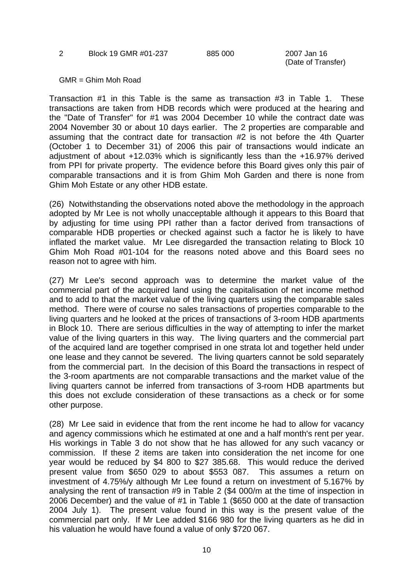#### 2 Block 19 GMR #01-237 885 000 2007 Jan 16

(Date of Transfer)

GMR = Ghim Moh Road

Transaction #1 in this Table is the same as transaction #3 in Table 1. These transactions are taken from HDB records which were produced at the hearing and the "Date of Transfer" for #1 was 2004 December 10 while the contract date was 2004 November 30 or about 10 days earlier. The 2 properties are comparable and assuming that the contract date for transaction #2 is not before the 4th Quarter (October 1 to December 31) of 2006 this pair of transactions would indicate an adjustment of about +12.03% which is significantly less than the +16.97% derived from PPI for private property. The evidence before this Board gives only this pair of comparable transactions and it is from Ghim Moh Garden and there is none from Ghim Moh Estate or any other HDB estate.

(26) Notwithstanding the observations noted above the methodology in the approach adopted by Mr Lee is not wholly unacceptable although it appears to this Board that by adjusting for time using PPI rather than a factor derived from transactions of comparable HDB properties or checked against such a factor he is likely to have inflated the market value. Mr Lee disregarded the transaction relating to Block 10 Ghim Moh Road #01-104 for the reasons noted above and this Board sees no reason not to agree with him.

(27) Mr Lee's second approach was to determine the market value of the commercial part of the acquired land using the capitalisation of net income method and to add to that the market value of the living quarters using the comparable sales method. There were of course no sales transactions of properties comparable to the living quarters and he looked at the prices of transactions of 3-room HDB apartments in Block 10. There are serious difficulties in the way of attempting to infer the market value of the living quarters in this way. The living quarters and the commercial part of the acquired land are together comprised in one strata lot and together held under one lease and they cannot be severed. The living quarters cannot be sold separately from the commercial part. In the decision of this Board the transactions in respect of the 3-room apartments are not comparable transactions and the market value of the living quarters cannot be inferred from transactions of 3-room HDB apartments but this does not exclude consideration of these transactions as a check or for some other purpose.

(28) Mr Lee said in evidence that from the rent income he had to allow for vacancy and agency commissions which he estimated at one and a half month's rent per year. His workings in Table 3 do not show that he has allowed for any such vacancy or commission. If these 2 items are taken into consideration the net income for one year would be reduced by \$4 800 to \$27 385.68. This would reduce the derived present value from \$650 029 to about \$553 087. This assumes a return on investment of 4.75%/y although Mr Lee found a return on investment of 5.167% by analysing the rent of transaction #9 in Table 2 (\$4 000/m at the time of inspection in 2006 December) and the value of #1 in Table 1 (\$650 000 at the date of transaction 2004 July 1). The present value found in this way is the present value of the commercial part only. If Mr Lee added \$166 980 for the living quarters as he did in his valuation he would have found a value of only \$720 067.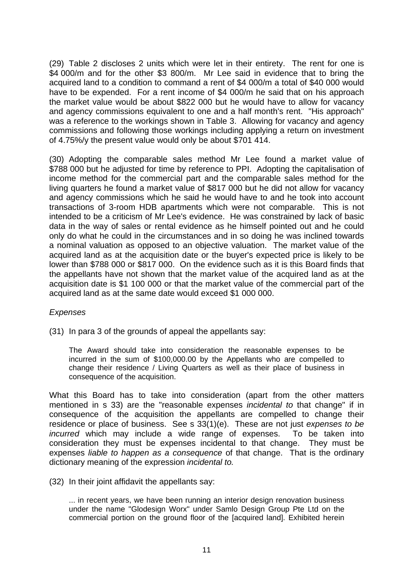(29) Table 2 discloses 2 units which were let in their entirety. The rent for one is \$4 000/m and for the other \$3 800/m. Mr Lee said in evidence that to bring the acquired land to a condition to command a rent of \$4 000/m a total of \$40 000 would have to be expended. For a rent income of \$4 000/m he said that on his approach the market value would be about \$822 000 but he would have to allow for vacancy and agency commissions equivalent to one and a half month's rent. "His approach" was a reference to the workings shown in Table 3. Allowing for vacancy and agency commissions and following those workings including applying a return on investment of 4.75%/y the present value would only be about \$701 414.

(30) Adopting the comparable sales method Mr Lee found a market value of \$788 000 but he adjusted for time by reference to PPI. Adopting the capitalisation of income method for the commercial part and the comparable sales method for the living quarters he found a market value of \$817 000 but he did not allow for vacancy and agency commissions which he said he would have to and he took into account transactions of 3-room HDB apartments which were not comparable. This is not intended to be a criticism of Mr Lee's evidence. He was constrained by lack of basic data in the way of sales or rental evidence as he himself pointed out and he could only do what he could in the circumstances and in so doing he was inclined towards a nominal valuation as opposed to an objective valuation. The market value of the acquired land as at the acquisition date or the buyer's expected price is likely to be lower than \$788 000 or \$817 000. On the evidence such as it is this Board finds that the appellants have not shown that the market value of the acquired land as at the acquisition date is \$1 100 000 or that the market value of the commercial part of the acquired land as at the same date would exceed \$1 000 000.

## *Expenses*

(31) In para 3 of the grounds of appeal the appellants say:

The Award should take into consideration the reasonable expenses to be incurred in the sum of \$100,000.00 by the Appellants who are compelled to change their residence / Living Quarters as well as their place of business in consequence of the acquisition.

What this Board has to take into consideration (apart from the other matters mentioned in s 33) are the "reasonable expenses *incidental to* that change" if in consequence of the acquisition the appellants are compelled to change their residence or place of business. See s 33(1)(e). These are not just *expenses to be incurred* which may include a wide range of expenses. To be taken into consideration they must be expenses incidental to that change. They must be expenses *liable to happen as a consequence* of that change. That is the ordinary dictionary meaning of the expression *incidental to.*

(32) In their joint affidavit the appellants say:

... in recent years, we have been running an interior design renovation business under the name "Glodesign Worx" under Samlo Design Group Pte Ltd on the commercial portion on the ground floor of the [acquired land]. Exhibited herein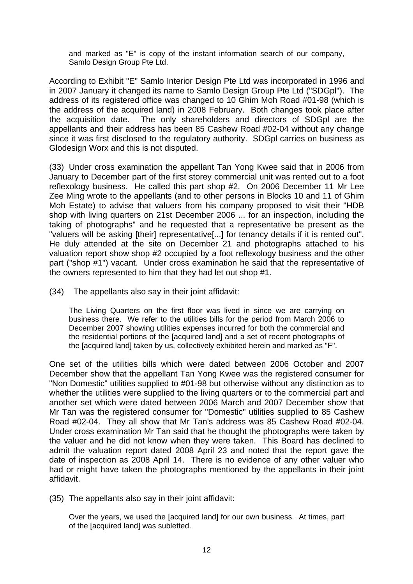and marked as "E" is copy of the instant information search of our company, Samlo Design Group Pte Ltd.

According to Exhibit "E" Samlo Interior Design Pte Ltd was incorporated in 1996 and in 2007 January it changed its name to Samlo Design Group Pte Ltd ("SDGpl"). The address of its registered office was changed to 10 Ghim Moh Road #01-98 (which is the address of the acquired land) in 2008 February. Both changes took place after the acquisition date. The only shareholders and directors of SDGpl are the appellants and their address has been 85 Cashew Road #02-04 without any change since it was first disclosed to the regulatory authority. SDGpl carries on business as Glodesign Worx and this is not disputed.

(33) Under cross examination the appellant Tan Yong Kwee said that in 2006 from January to December part of the first storey commercial unit was rented out to a foot reflexology business. He called this part shop #2. On 2006 December 11 Mr Lee Zee Ming wrote to the appellants (and to other persons in Blocks 10 and 11 of Ghim Moh Estate) to advise that valuers from his company proposed to visit their "HDB shop with living quarters on 21st December 2006 ... for an inspection, including the taking of photographs" and he requested that a representative be present as the "valuers will be asking [their] representative[...] for tenancy details if it is rented out". He duly attended at the site on December 21 and photographs attached to his valuation report show shop #2 occupied by a foot reflexology business and the other part ("shop #1") vacant. Under cross examination he said that the representative of the owners represented to him that they had let out shop #1.

(34) The appellants also say in their joint affidavit:

The Living Quarters on the first floor was lived in since we are carrying on business there. We refer to the utilities bills for the period from March 2006 to December 2007 showing utilities expenses incurred for both the commercial and the residential portions of the [acquired land] and a set of recent photographs of the [acquired land] taken by us, collectively exhibited herein and marked as "F".

One set of the utilities bills which were dated between 2006 October and 2007 December show that the appellant Tan Yong Kwee was the registered consumer for "Non Domestic" utilities supplied to #01-98 but otherwise without any distinction as to whether the utilities were supplied to the living quarters or to the commercial part and another set which were dated between 2006 March and 2007 December show that Mr Tan was the registered consumer for "Domestic" utilities supplied to 85 Cashew Road #02-04. They all show that Mr Tan's address was 85 Cashew Road #02-04. Under cross examination Mr Tan said that he thought the photographs were taken by the valuer and he did not know when they were taken. This Board has declined to admit the valuation report dated 2008 April 23 and noted that the report gave the date of inspection as 2008 April 14. There is no evidence of any other valuer who had or might have taken the photographs mentioned by the appellants in their joint affidavit.

(35) The appellants also say in their joint affidavit:

Over the years, we used the [acquired land] for our own business. At times, part of the [acquired land] was subletted.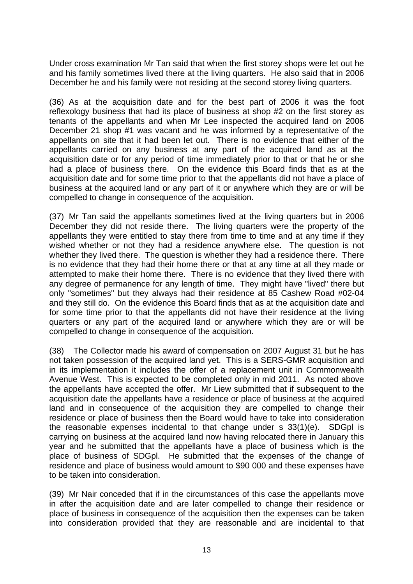Under cross examination Mr Tan said that when the first storey shops were let out he and his family sometimes lived there at the living quarters. He also said that in 2006 December he and his family were not residing at the second storey living quarters.

(36) As at the acquisition date and for the best part of 2006 it was the foot reflexology business that had its place of business at shop #2 on the first storey as tenants of the appellants and when Mr Lee inspected the acquired land on 2006 December 21 shop #1 was vacant and he was informed by a representative of the appellants on site that it had been let out. There is no evidence that either of the appellants carried on any business at any part of the acquired land as at the acquisition date or for any period of time immediately prior to that or that he or she had a place of business there. On the evidence this Board finds that as at the acquisition date and for some time prior to that the appellants did not have a place of business at the acquired land or any part of it or anywhere which they are or will be compelled to change in consequence of the acquisition.

(37) Mr Tan said the appellants sometimes lived at the living quarters but in 2006 December they did not reside there. The living quarters were the property of the appellants they were entitled to stay there from time to time and at any time if they wished whether or not they had a residence anywhere else. The question is not whether they lived there. The question is whether they had a residence there. There is no evidence that they had their home there or that at any time at all they made or attempted to make their home there. There is no evidence that they lived there with any degree of permanence for any length of time. They might have "lived" there but only "sometimes" but they always had their residence at 85 Cashew Road #02-04 and they still do. On the evidence this Board finds that as at the acquisition date and for some time prior to that the appellants did not have their residence at the living quarters or any part of the acquired land or anywhere which they are or will be compelled to change in consequence of the acquisition.

(38) The Collector made his award of compensation on 2007 August 31 but he has not taken possession of the acquired land yet. This is a SERS-GMR acquisition and in its implementation it includes the offer of a replacement unit in Commonwealth Avenue West. This is expected to be completed only in mid 2011. As noted above the appellants have accepted the offer. Mr Liew submitted that if subsequent to the acquisition date the appellants have a residence or place of business at the acquired land and in consequence of the acquisition they are compelled to change their residence or place of business then the Board would have to take into consideration the reasonable expenses incidental to that change under s 33(1)(e). SDGpl is carrying on business at the acquired land now having relocated there in January this year and he submitted that the appellants have a place of business which is the place of business of SDGpl. He submitted that the expenses of the change of residence and place of business would amount to \$90 000 and these expenses have to be taken into consideration.

(39) Mr Nair conceded that if in the circumstances of this case the appellants move in after the acquisition date and are later compelled to change their residence or place of business in consequence of the acquisition then the expenses can be taken into consideration provided that they are reasonable and are incidental to that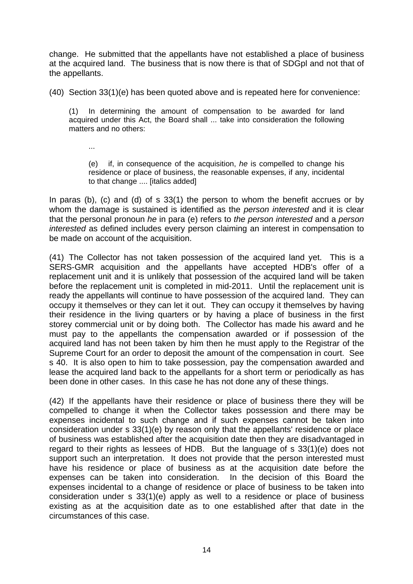change. He submitted that the appellants have not established a place of business at the acquired land. The business that is now there is that of SDGpl and not that of the appellants.

(40) Section 33(1)(e) has been quoted above and is repeated here for convenience:

(1) In determining the amount of compensation to be awarded for land acquired under this Act, the Board shall ... take into consideration the following matters and no others:

...

(e) if, in consequence of the acquisition, *he* is compelled to change his residence or place of business, the reasonable expenses, if any, incidental to that change .... [italics added]

In paras (b), (c) and (d) of s 33(1) the person to whom the benefit accrues or by whom the damage is sustained is identified as the *person interested* and it is clear that the personal pronoun *he* in para (e) refers to *the person interested* and a *person interested* as defined includes every person claiming an interest in compensation to be made on account of the acquisition.

(41) The Collector has not taken possession of the acquired land yet. This is a SERS-GMR acquisition and the appellants have accepted HDB's offer of a replacement unit and it is unlikely that possession of the acquired land will be taken before the replacement unit is completed in mid-2011. Until the replacement unit is ready the appellants will continue to have possession of the acquired land. They can occupy it themselves or they can let it out. They can occupy it themselves by having their residence in the living quarters or by having a place of business in the first storey commercial unit or by doing both. The Collector has made his award and he must pay to the appellants the compensation awarded or if possession of the acquired land has not been taken by him then he must apply to the Registrar of the Supreme Court for an order to deposit the amount of the compensation in court. See s 40. It is also open to him to take possession, pay the compensation awarded and lease the acquired land back to the appellants for a short term or periodically as has been done in other cases. In this case he has not done any of these things.

(42) If the appellants have their residence or place of business there they will be compelled to change it when the Collector takes possession and there may be expenses incidental to such change and if such expenses cannot be taken into consideration under s 33(1)(e) by reason only that the appellants' residence or place of business was established after the acquisition date then they are disadvantaged in regard to their rights as lessees of HDB. But the language of s 33(1)(e) does not support such an interpretation. It does not provide that the person interested must have his residence or place of business as at the acquisition date before the expenses can be taken into consideration. In the decision of this Board the expenses incidental to a change of residence or place of business to be taken into consideration under s 33(1)(e) apply as well to a residence or place of business existing as at the acquisition date as to one established after that date in the circumstances of this case.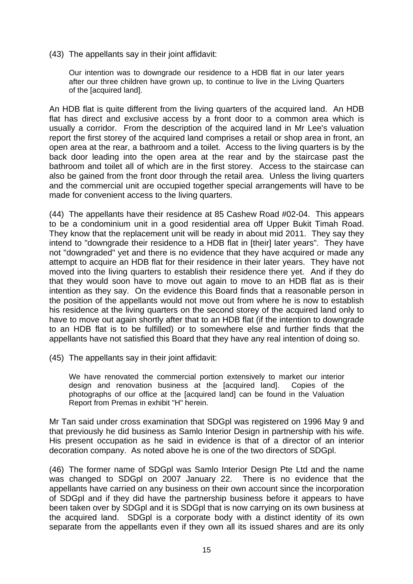(43) The appellants say in their joint affidavit:

Our intention was to downgrade our residence to a HDB flat in our later years after our three children have grown up, to continue to live in the Living Quarters of the [acquired land].

An HDB flat is quite different from the living quarters of the acquired land. An HDB flat has direct and exclusive access by a front door to a common area which is usually a corridor. From the description of the acquired land in Mr Lee's valuation report the first storey of the acquired land comprises a retail or shop area in front, an open area at the rear, a bathroom and a toilet. Access to the living quarters is by the back door leading into the open area at the rear and by the staircase past the bathroom and toilet all of which are in the first storey. Access to the staircase can also be gained from the front door through the retail area. Unless the living quarters and the commercial unit are occupied together special arrangements will have to be made for convenient access to the living quarters.

(44) The appellants have their residence at 85 Cashew Road #02-04. This appears to be a condominium unit in a good residential area off Upper Bukit Timah Road. They know that the replacement unit will be ready in about mid 2011. They say they intend to "downgrade their residence to a HDB flat in [their] later years". They have not "downgraded" yet and there is no evidence that they have acquired or made any attempt to acquire an HDB flat for their residence in their later years. They have not moved into the living quarters to establish their residence there yet. And if they do that they would soon have to move out again to move to an HDB flat as is their intention as they say. On the evidence this Board finds that a reasonable person in the position of the appellants would not move out from where he is now to establish his residence at the living quarters on the second storey of the acquired land only to have to move out again shortly after that to an HDB flat (if the intention to downgrade to an HDB flat is to be fulfilled) or to somewhere else and further finds that the appellants have not satisfied this Board that they have any real intention of doing so.

(45) The appellants say in their joint affidavit:

We have renovated the commercial portion extensively to market our interior design and renovation business at the [acquired land]. Copies of the photographs of our office at the [acquired land] can be found in the Valuation Report from Premas in exhibit "H" herein.

Mr Tan said under cross examination that SDGpl was registered on 1996 May 9 and that previously he did business as Samlo Interior Design in partnership with his wife. His present occupation as he said in evidence is that of a director of an interior decoration company. As noted above he is one of the two directors of SDGpl.

(46) The former name of SDGpl was Samlo Interior Design Pte Ltd and the name was changed to SDGpl on 2007 January 22. There is no evidence that the appellants have carried on any business on their own account since the incorporation of SDGpl and if they did have the partnership business before it appears to have been taken over by SDGpl and it is SDGpl that is now carrying on its own business at the acquired land. SDGpl is a corporate body with a distinct identity of its own separate from the appellants even if they own all its issued shares and are its only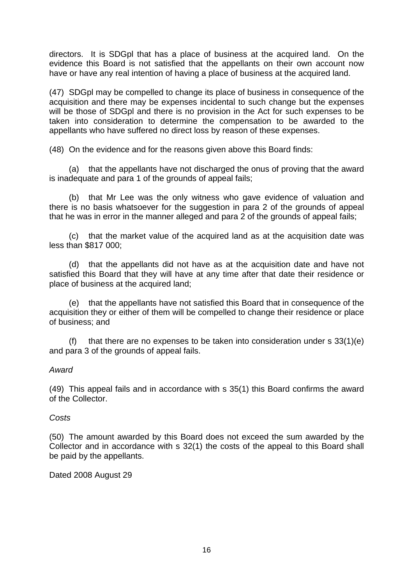directors. It is SDGpl that has a place of business at the acquired land. On the evidence this Board is not satisfied that the appellants on their own account now have or have any real intention of having a place of business at the acquired land.

(47) SDGpl may be compelled to change its place of business in consequence of the acquisition and there may be expenses incidental to such change but the expenses will be those of SDGpl and there is no provision in the Act for such expenses to be taken into consideration to determine the compensation to be awarded to the appellants who have suffered no direct loss by reason of these expenses.

(48) On the evidence and for the reasons given above this Board finds:

 (a) that the appellants have not discharged the onus of proving that the award is inadequate and para 1 of the grounds of appeal fails;

 (b) that Mr Lee was the only witness who gave evidence of valuation and there is no basis whatsoever for the suggestion in para 2 of the grounds of appeal that he was in error in the manner alleged and para 2 of the grounds of appeal fails;

 (c) that the market value of the acquired land as at the acquisition date was less than \$817 000;

 (d) that the appellants did not have as at the acquisition date and have not satisfied this Board that they will have at any time after that date their residence or place of business at the acquired land;

 (e) that the appellants have not satisfied this Board that in consequence of the acquisition they or either of them will be compelled to change their residence or place of business; and

(f) that there are no expenses to be taken into consideration under s  $33(1)(e)$ and para 3 of the grounds of appeal fails.

## *Award*

(49) This appeal fails and in accordance with s 35(1) this Board confirms the award of the Collector.

## *Costs*

(50) The amount awarded by this Board does not exceed the sum awarded by the Collector and in accordance with s 32(1) the costs of the appeal to this Board shall be paid by the appellants.

Dated 2008 August 29